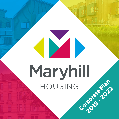# Corporate Plan **2019 - 2022**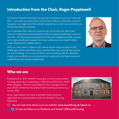## Introduction from the Chair, Roger Popplewell

As Chair of Maryhill Housing, I am proud to introduce our new Corporate Plan. Last year we carried out a full survey of all our customers; and this has given us insight into how people experience our services and what we should be doing to improve.

Our Corporate Plan sets out what we aim to do over the next three years to make these improvements and to increase satisfaction with our services. As well as providing great homes and neighbourhoods, we also aim to give additional support to those customers who need it most when dealing with welfare reform.

With our new Vision, Mission and Values we are ready to take on the challenges of the next three years, and this Plan sets out the key actions we will be taking. In my role as Chair I will be working with the Board to make sure we deliver on our promises to customers and keep everyone updated on how we are progressing.



#### Who we are

Established in 1977, Maryhill Housing is a community-based housing association operating in Maryhill and Ruchill in North West Glasgow. We are responsible for the management of over 3000 rented homes and provide factoring services to a further 700.

As an organisation we have charitable status and are registered as a social landlord with the Scottish Housing Regulator.



**You can read more about us on our website:** www.maryhill.org.uk/about-us

 **Or why not follow us on Facebook and Twitter? @MaryhillHousing**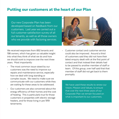#### Putting our customers at the heart of our Plan

Our new Corporate Plan has been developed based on feedback from our customers. Last year we carried out a full customer satisfaction survey of all our tenants, as well as all those owners who we provide with factoring services.



We received responses from 892 tenants and 198 owners, which has given us valuable insight into what they think of what we do and how we should work to improve over the next three years. Most importantly:

- The most common issue raised by our customers was the need to improve our repairs and maintenance service, especially how we deal with long standing or complex issues. We need to make sure we communicate with our customers while they are waiting for these areas to be addressed.
- Our customers are also concerned about the energy efficiency of their homes and the cost of heating. This is particularly true for those customers in properties with electric storage heaters, and for those living in pre 1919 tenements.

• Customer contact and customer service could also be improved. Around a third of customers said they did not have their latest enquiry dealt with at the first point of contact and that instead their details had to be passed to another member of staff or team. Of this group, over half said that that member of staff did not get back to them promptly.

We have used these results to renew our Vision, Mission and Values, to ensure that over the next three years of our Corporate Plan we remain focused on what is important to our customers.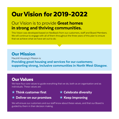# Our Vision for 2019-2022

# Our Vision is to provide **Great homes** in strong and thriving communities.

This Vision was developed based on feedback from our customers, staff and Board Members. We will continue to engage with all of them throughout the three years of this plan to ensure that we achieve what we have set out to do.

# Our Mission

Maryhill Housing's Mission is: Providing great housing and services for our customers; supporting strong, inclusive communities in North West Glasgow.

# Our Values

We have four core values to guide everything that we do, both as an organisation and as individuals. These values are:









We will ensure our customers and our staff know about these values, and that our Board is guided by them in their decision making.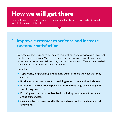# How we will get there

To be able to achieve our Vision we have identified three key objectives, to be delivered over the three years of this plan.

## 1. Improve customer experience and increase customer satisfaction

We recognise that we need to do more to ensure all our customers receive an excellent quality of service from us. We need to make sure we own issues, are clear about what customers can expect and follow through on our commitments. We also need to deal with more enquiries at the first point of contact.

This will involve:

- ★ Supporting, empowering and training our staff to be the best that they **can be.**
- **K** Producing a business case for providing more of our services in-house.
- **K** Improving the customer experience through mapping, challenging and **simplifying processes.**
- ★ Ensuring we use customer feedback, including complaints, to actively **shape our services.**
- ★ Giving customers easier and better ways to contact us, such as via text **and online.**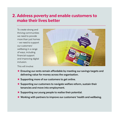#### 2. Address poverty and enable customers to make their lives better

To create strong and thriving communities we need to provide more than just homes – we need to support our customers' wellbeing in a range of ways, including financial support and improving digital inclusion.

This will involve:



- ★ Ensuring our rents remain affordable by meeting our savings targets and **delivering value for money across the organisation.**
- ★ Supporting more of our customers to get online.
- ★ Supporting our customers to navigate welfare reform, sustain their **tenancies and move into employment.**
- **★ Supporting our young people to realise their potential.**
- **★ Working with partners to improve our customers' health and wellbeing.**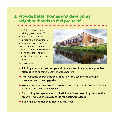## 3. Provide better homes and developing neighbourhoods to feel proud of

Our Vision is based around providing great homes. This includes maintaining those we already have, investing in improvements and building new properties to meet a variety of needs. It also means looking after the land and neighbourhoods around our homes.



This will involve:

- **★ Piloting air source heat pumps and other forms of heating as a possible alternative to existing electric storage heaters.**
- **★ Improving the energy efficiency of our pre 1919 tenements through insulation and other upgrades.**
- **★ Working with our customers to improve back courts and communal areas to create positive, usable spaces.**
- **★ Supporting the regeneration of North Maryhill and ensuring plans for the area will improve the quality of life for existing residents.**
- **★ Building new homes that meet housing need.**